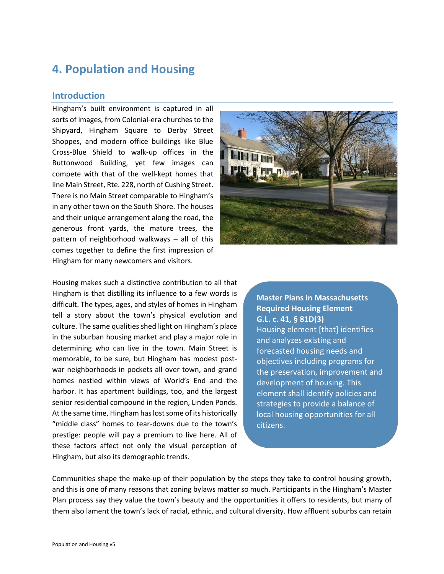# **4. Population and Housing**

## **Introduction**

Hingham's built environment is captured in all sorts of images, from Colonial-era churches to the Shipyard, Hingham Square to Derby Street Shoppes, and modern office buildings like Blue Cross-Blue Shield to walk-up offices in the Buttonwood Building, yet few images can compete with that of the well-kept homes that line Main Street, Rte. 228, north of Cushing Street. There is no Main Street comparable to Hingham's in any other town on the South Shore. The houses and their unique arrangement along the road, the generous front yards, the mature trees, the pattern of neighborhood walkways – all of this comes together to define the first impression of Hingham for many newcomers and visitors.



Housing makes such a distinctive contribution to all that Hingham is that distilling its influence to a few words is difficult. The types, ages, and styles of homes in Hingham tell a story about the town's physical evolution and culture. The same qualities shed light on Hingham's place in the suburban housing market and play a major role in determining who can live in the town. Main Street is memorable, to be sure, but Hingham has modest postwar neighborhoods in pockets all over town, and grand homes nestled within views of World's End and the harbor. It has apartment buildings, too, and the largest senior residential compound in the region, Linden Ponds. At the same time, Hingham has lost some of its historically "middle class" homes to tear-downs due to the town's prestige: people will pay a premium to live here. All of these factors affect not only the visual perception of Hingham, but also its demographic trends.

**Master Plans in Massachusetts Required Housing Element G.L. c. 41, § 81D(3)** Housing element [that] identifies and analyzes existing and forecasted housing needs and objectives including programs for the preservation, improvement and development of housing. This element shall identify policies and strategies to provide a balance of local housing opportunities for all citizens.

Communities shape the make-up of their population by the steps they take to control housing growth, and this is one of many reasons that zoning bylaws matter so much. Participants in the Hingham's Master Plan process say they value the town's beauty and the opportunities it offers to residents, but many of them also lament the town's lack of racial, ethnic, and cultural diversity. How affluent suburbs can retain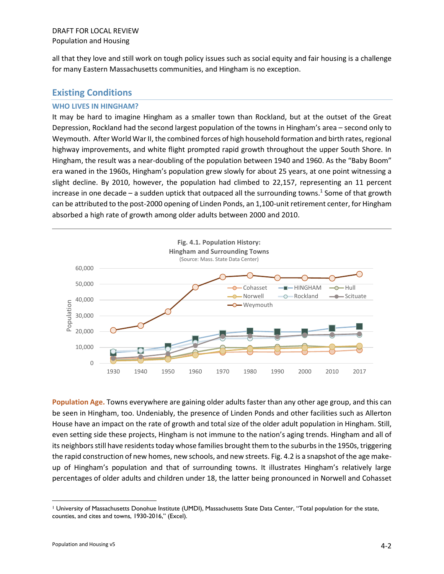all that they love and still work on tough policy issues such as social equity and fair housing is a challenge for many Eastern Massachusetts communities, and Hingham is no exception.

## **Existing Conditions**

#### **WHO LIVES IN HINGHAM?**

It may be hard to imagine Hingham as a smaller town than Rockland, but at the outset of the Great Depression, Rockland had the second largest population of the towns in Hingham's area – second only to Weymouth. After World War II, the combined forces of high household formation and birth rates, regional highway improvements, and white flight prompted rapid growth throughout the upper South Shore. In Hingham, the result was a near-doubling of the population between 1940 and 1960. As the "Baby Boom" era waned in the 1960s, Hingham's population grew slowly for about 25 years, at one point witnessing a slight decline. By 2010, however, the population had climbed to 22,157, representing an 11 percent increase in one decade – a sudden uptick that outpaced all the surrounding towns.<sup>1</sup> Some of that growth can be attributed to the post-2000 opening of Linden Ponds, an 1,100-unit retirement center, for Hingham absorbed a high rate of growth among older adults between 2000 and 2010.



**Population Age.** Towns everywhere are gaining older adults faster than any other age group, and this can be seen in Hingham, too. Undeniably, the presence of Linden Ponds and other facilities such as Allerton House have an impact on the rate of growth and total size of the older adult population in Hingham. Still, even setting side these projects, Hingham is not immune to the nation's aging trends. Hingham and all of its neighbors still have residents today whose families brought them to the suburbs in the 1950s, triggering the rapid construction of new homes, new schools, and new streets. Fig. 4.2 is a snapshot of the age makeup of Hingham's population and that of surrounding towns. It illustrates Hingham's relatively large percentages of older adults and children under 18, the latter being pronounced in Norwell and Cohasset

<sup>1</sup> University of Massachusetts Donohue Institute (UMDI), Massachusetts State Data Center, "Total population for the state, counties, and cites and towns, 1930-2016," (Excel).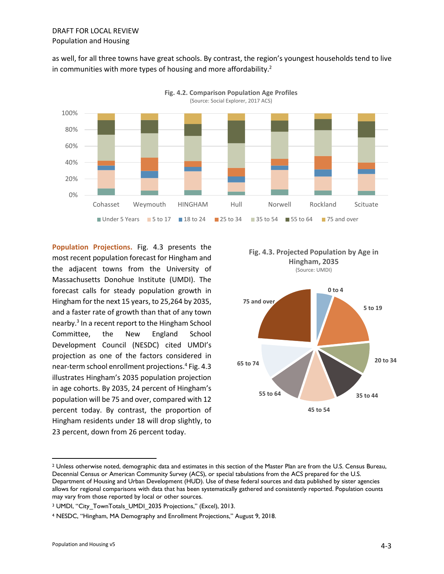as well, for all three towns have great schools. By contrast, the region's youngest households tend to live in communities with more types of housing and more affordability.<sup>2</sup>



**Population Projections.** Fig. 4.3 presents the most recent population forecast for Hingham and the adjacent towns from the University of Massachusetts Donohue Institute (UMDI). The forecast calls for steady population growth in Hingham for the next 15 years, to 25,264 by 2035, and a faster rate of growth than that of any town nearby.<sup>3</sup> In a recent report to the Hingham School Committee, the New England School Development Council (NESDC) cited UMDI's projection as one of the factors considered in near-term school enrollment projections. 4 Fig. 4.3 illustrates Hingham's 2035 population projection in age cohorts. By 2035, 24 percent of Hingham's population will be 75 and over, compared with 12 percent today. By contrast, the proportion of Hingham residents under 18 will drop slightly, to 23 percent, down from 26 percent today.





<sup>&</sup>lt;sup>2</sup> Unless otherwise noted, demographic data and estimates in this section of the Master Plan are from the U.S. Census Bureau, Decennial Census or American Community Survey (ACS), or special tabulations from the ACS prepared for the U.S. Department of Housing and Urban Development (HUD). Use of these federal sources and data published by sister agencies allows for regional comparisons with data that has been systematically gathered and consistently reported. Population counts may vary from those reported by local or other sources.

<sup>&</sup>lt;sup>3</sup> UMDI, "City TownTotals\_UMDI\_2035 Projections," (Excel), 2013.

<sup>4</sup> NESDC, "Hingham, MA Demography and Enrollment Projections," August 9, 2018.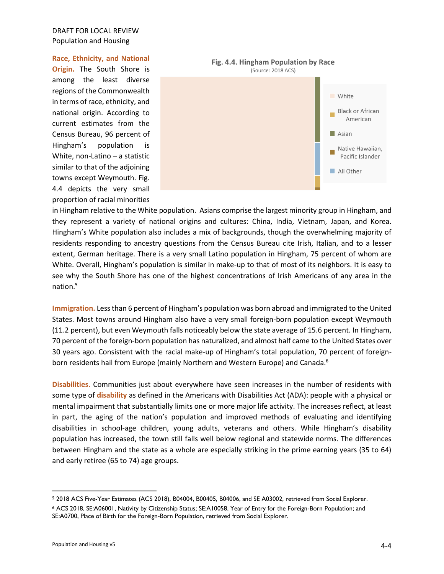#### **Race, Ethnicity, and National**

**Origin.** The South Shore is among the least diverse regions of the Commonwealth in terms of race, ethnicity, and national origin. According to current estimates from the Census Bureau, 96 percent of Hingham's population is White, non-Latino – a statistic similar to that of the adjoining towns except Weymouth. Fig. 4.4 depicts the very small proportion of racial minorities



in Hingham relative to the White population. Asians comprise the largest minority group in Hingham, and they represent a variety of national origins and cultures: China, India, Vietnam, Japan, and Korea. Hingham's White population also includes a mix of backgrounds, though the overwhelming majority of residents responding to ancestry questions from the Census Bureau cite Irish, Italian, and to a lesser extent, German heritage. There is a very small Latino population in Hingham, 75 percent of whom are White. Overall, Hingham's population is similar in make-up to that of most of its neighbors. It is easy to see why the South Shore has one of the highest concentrations of Irish Americans of any area in the nation.<sup>5</sup>

**Immigration.** Less than 6 percent of Hingham's population was born abroad and immigrated to the United States. Most towns around Hingham also have a very small foreign-born population except Weymouth (11.2 percent), but even Weymouth falls noticeably below the state average of 15.6 percent. In Hingham, 70 percent of the foreign-born population has naturalized, and almost half came to the United States over 30 years ago. Consistent with the racial make-up of Hingham's total population, 70 percent of foreignborn residents hail from Europe (mainly Northern and Western Europe) and Canada.<sup>6</sup>

**Disabilities.** Communities just about everywhere have seen increases in the number of residents with some type of **disability** as defined in the Americans with Disabilities Act (ADA): people with a physical or mental impairment that substantially limits one or more major life activity. The increases reflect, at least in part, the aging of the nation's population and improved methods of evaluating and identifying disabilities in school-age children, young adults, veterans and others. While Hingham's disability population has increased, the town still falls well below regional and statewide norms. The differences between Hingham and the state as a whole are especially striking in the prime earning years (35 to 64) and early retiree (65 to 74) age groups.

<sup>5</sup> 2018 ACS Five-Year Estimates (ACS 2018), B04004, B00405, B04006, and SE A03002, retrieved from Social Explorer.

<sup>6</sup> ACS 2018, SE:A06001, Nativity by Citizenship Status; SE:A10058, Year of Entry for the Foreign-Born Population; and SE:A0700, Place of Birth for the Foreign-Born Population, retrieved from Social Explorer.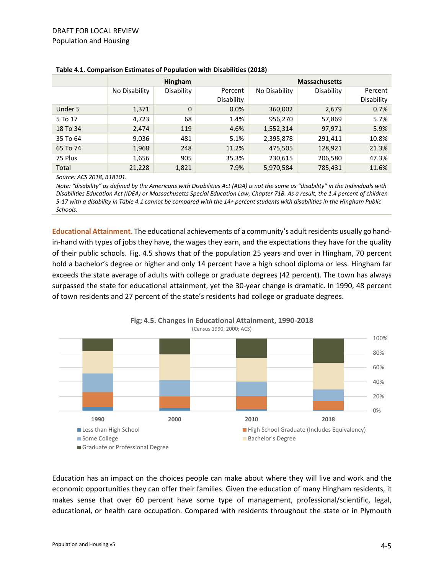|          | <b>Hingham</b> |             |                       | <b>Massachusetts</b> |            |                       |
|----------|----------------|-------------|-----------------------|----------------------|------------|-----------------------|
|          | No Disability  | Disability  | Percent<br>Disability | No Disability        | Disability | Percent<br>Disability |
| Under 5  | 1,371          | $\mathbf 0$ | 0.0%                  | 360,002              | 2,679      | 0.7%                  |
| 5 To 17  | 4,723          | 68          | 1.4%                  | 956,270              | 57,869     | 5.7%                  |
| 18 To 34 | 2,474          | 119         | 4.6%                  | 1,552,314            | 97,971     | 5.9%                  |
| 35 To 64 | 9,036          | 481         | 5.1%                  | 2,395,878            | 291,411    | 10.8%                 |
| 65 To 74 | 1,968          | 248         | 11.2%                 | 475,505              | 128,921    | 21.3%                 |
| 75 Plus  | 1,656          | 905         | 35.3%                 | 230,615              | 206,580    | 47.3%                 |
| Total    | 21,228         | 1,821       | 7.9%                  | 5,970,584            | 785,431    | 11.6%                 |

#### **Table 4.1. Comparison Estimates of Population with Disabilities (2018)**

*Source: ACS 2018, B18101.*

*Note: "disability" as defined by the Americans with Disabilities Act (ADA) is not the same as "disability" in the Individuals with Disabilities Education Act (IDEA) or Massachusetts Special Education Law, Chapter 71B. As a result, the 1.4 percent of children 5-17 with a disability in Table 4.1 cannot be compared with the 14+ percent students with disabilities in the Hingham Public Schools.*

**Educational Attainment.** The educational achievements of a community's adult residents usually go handin-hand with types of jobs they have, the wages they earn, and the expectations they have for the quality of their public schools. Fig. 4.5 shows that of the population 25 years and over in Hingham, 70 percent hold a bachelor's degree or higher and only 14 percent have a high school diploma or less. Hingham far exceeds the state average of adults with college or graduate degrees (42 percent). The town has always surpassed the state for educational attainment, yet the 30-year change is dramatic. In 1990, 48 percent of town residents and 27 percent of the state's residents had college or graduate degrees.



**Fig; 4.5. Changes in Educational Attainment, 1990-2018**

Education has an impact on the choices people can make about where they will live and work and the economic opportunities they can offer their families. Given the education of many Hingham residents, it makes sense that over 60 percent have some type of management, professional/scientific, legal, educational, or health care occupation. Compared with residents throughout the state or in Plymouth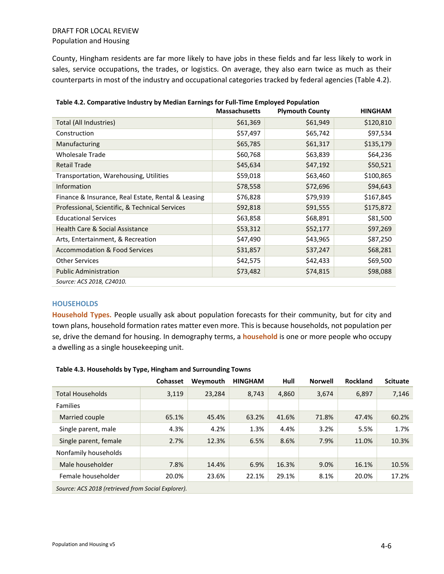County, Hingham residents are far more likely to have jobs in these fields and far less likely to work in sales, service occupations, the trades, or logistics. On average, they also earn twice as much as their counterparts in most of the industry and occupational categories tracked by federal agencies (Table 4.2).

|                                                    | <b>Massachusetts</b> | <b>Plymouth County</b> | <b>HINGHAM</b> |
|----------------------------------------------------|----------------------|------------------------|----------------|
| Total (All Industries)                             | \$61,369             | \$61,949               | \$120,810      |
| Construction                                       | \$57,497             | \$65,742               | \$97,534       |
| Manufacturing                                      | \$65,785             | \$61,317               | \$135,179      |
| <b>Wholesale Trade</b>                             | \$60,768             | \$63,839               | \$64,236       |
| <b>Retail Trade</b>                                | \$45,634             | \$47,192               | \$50,521       |
| Transportation, Warehousing, Utilities             | \$59,018             | \$63,460               | \$100,865      |
| <b>Information</b>                                 | \$78,558             | \$72,696               | \$94,643       |
| Finance & Insurance, Real Estate, Rental & Leasing | \$76,828             | \$79,939               | \$167,845      |
| Professional, Scientific, & Technical Services     | \$92,818             | \$91,555               | \$175,872      |
| <b>Educational Services</b>                        | \$63,858             | \$68,891               | \$81,500       |
| <b>Health Care &amp; Social Assistance</b>         | \$53,312             | \$52,177               | \$97,269       |
| Arts, Entertainment, & Recreation                  | \$47,490             | \$43,965               | \$87,250       |
| <b>Accommodation &amp; Food Services</b>           | \$31,857             | \$37,247               | \$68,281       |
| <b>Other Services</b>                              | \$42,575             | \$42,433               | \$69,500       |
| <b>Public Administration</b>                       | \$73,482             | \$74,815               | \$98,088       |
| Source: ACS 2018, C24010.                          |                      |                        |                |

#### **HOUSEHOLDS**

**Household Types.** People usually ask about population forecasts for their community, but for city and town plans, household formation rates matter even more. This is because households, not population per se, drive the demand for housing. In demography terms, a **household** is one or more people who occupy a dwelling as a single housekeeping unit.

|                         | <b>Cohasset</b>                                    | Weymouth | <b>HINGHAM</b> | Hull  | <b>Norwell</b> | <b>Rockland</b> | <b>Scituate</b> |  |
|-------------------------|----------------------------------------------------|----------|----------------|-------|----------------|-----------------|-----------------|--|
| <b>Total Households</b> | 3,119                                              | 23.284   | 8.743          | 4.860 | 3.674          | 6.897           | 7,146           |  |
| <b>Families</b>         |                                                    |          |                |       |                |                 |                 |  |
| Married couple          | 65.1%                                              | 45.4%    | 63.2%          | 41.6% | 71.8%          | 47.4%           | 60.2%           |  |
| Single parent, male     | 4.3%                                               | 4.2%     | 1.3%           | 4.4%  | 3.2%           | 5.5%            | 1.7%            |  |
| Single parent, female   | 2.7%                                               | 12.3%    | 6.5%           | 8.6%  | 7.9%           | 11.0%           | 10.3%           |  |
| Nonfamily households    |                                                    |          |                |       |                |                 |                 |  |
| Male householder        | 7.8%                                               | 14.4%    | 6.9%           | 16.3% | 9.0%           | 16.1%           | 10.5%           |  |
| Female householder      | 20.0%                                              | 23.6%    | 22.1%          | 29.1% | 8.1%           | 20.0%           | 17.2%           |  |
|                         | Source: ACS 2018 (retrieved from Social Explorer). |          |                |       |                |                 |                 |  |

#### **Table 4.3. Households by Type, Hingham and Surrounding Towns**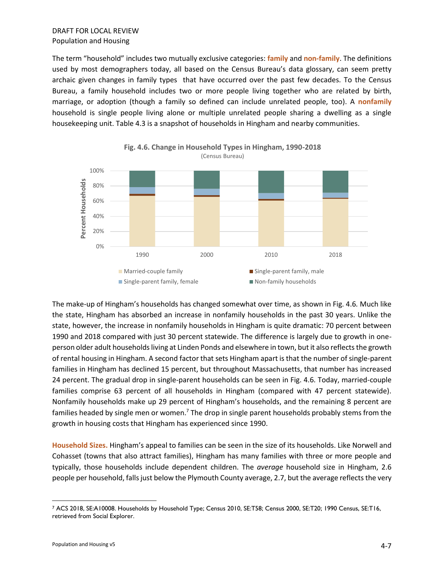The term "household" includes two mutually exclusive categories: **family** and **non-family**. The definitions used by most demographers today, all based on the Census Bureau's data glossary, can seem pretty archaic given changes in family types that have occurred over the past few decades. To the Census Bureau, a family household includes two or more people living together who are related by birth, marriage, or adoption (though a family so defined can include unrelated people, too). A **nonfamily** household is single people living alone or multiple unrelated people sharing a dwelling as a single housekeeping unit. Table 4.3 is a snapshot of households in Hingham and nearby communities.





The make-up of Hingham's households has changed somewhat over time, as shown in Fig. 4.6*.* Much like the state, Hingham has absorbed an increase in nonfamily households in the past 30 years. Unlike the state, however, the increase in nonfamily households in Hingham is quite dramatic: 70 percent between 1990 and 2018 compared with just 30 percent statewide. The difference is largely due to growth in oneperson older adult households living at Linden Ponds and elsewhere in town, but it also reflects the growth of rental housing in Hingham. A second factor that sets Hingham apart is that the number of single-parent families in Hingham has declined 15 percent, but throughout Massachusetts, that number has increased 24 percent. The gradual drop in single-parent households can be seen in Fig. 4.6. Today, married-couple families comprise 63 percent of all households in Hingham (compared with 47 percent statewide). Nonfamily households make up 29 percent of Hingham's households, and the remaining 8 percent are families headed by single men or women.<sup>7</sup> The drop in single parent households probably stems from the growth in housing costs that Hingham has experienced since 1990.

**Household Sizes.** Hingham's appeal to families can be seen in the size of its households. Like Norwell and Cohasset (towns that also attract families), Hingham has many families with three or more people and typically, those households include dependent children. The *average* household size in Hingham, 2.6 people per household, falls just below the Plymouth County average, 2.7, but the average reflects the very

<sup>7</sup> ACS 2018, SE:A10008. Households by Household Type; Census 2010, SE:T58; Census 2000, SE:T20; 1990 Census, SE:T16, retrieved from Social Explorer.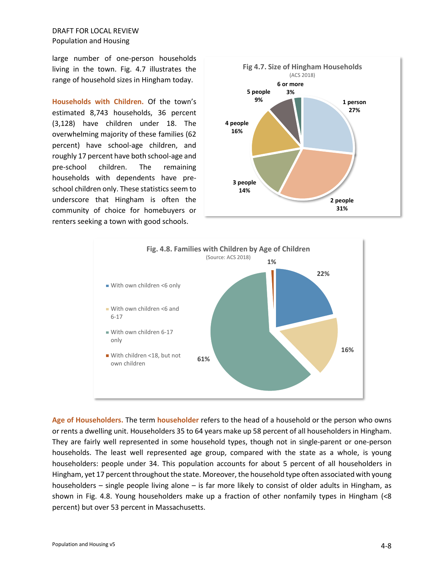large number of one-person households living in the town. Fig. 4.7 illustrates the range of household sizes in Hingham today.

**Households with Children.** Of the town's estimated 8,743 households, 36 percent (3,128) have children under 18. The overwhelming majority of these families (62 percent) have school-age children, and roughly 17 percent have both school-age and pre-school children. The remaining households with dependents have preschool children only. These statistics seem to underscore that Hingham is often the community of choice for homebuyers or renters seeking a town with good schools.





**Age of Householders.** The term **householder** refers to the head of a household or the person who owns or rents a dwelling unit. Householders 35 to 64 years make up 58 percent of all householders in Hingham. They are fairly well represented in some household types, though not in single-parent or one-person households. The least well represented age group, compared with the state as a whole, is young householders: people under 34. This population accounts for about 5 percent of all householders in Hingham, yet 17 percent throughout the state. Moreover, the household type often associated with young householders – single people living alone – is far more likely to consist of older adults in Hingham, as shown in Fig. 4.8. Young householders make up a fraction of other nonfamily types in Hingham (<8 percent) but over 53 percent in Massachusetts.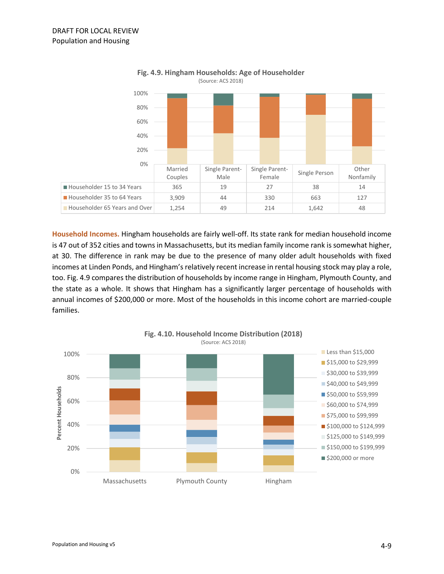

**Fig. 4.9. Hingham Households: Age of Householder** (Source: ACS 2018)

**Household Incomes.** Hingham households are fairly well-off. Its state rank for median household income is 47 out of 352 cities and towns in Massachusetts, but its median family income rank is somewhat higher, at 30. The difference in rank may be due to the presence of many older adult households with fixed incomes at Linden Ponds, and Hingham's relatively recent increase in rental housing stock may play a role, too. Fig. 4.9 compares the distribution of households by income range in Hingham, Plymouth County, and the state as a whole. It shows that Hingham has a significantly larger percentage of households with annual incomes of \$200,000 or more. Most of the households in this income cohort are married-couple families.

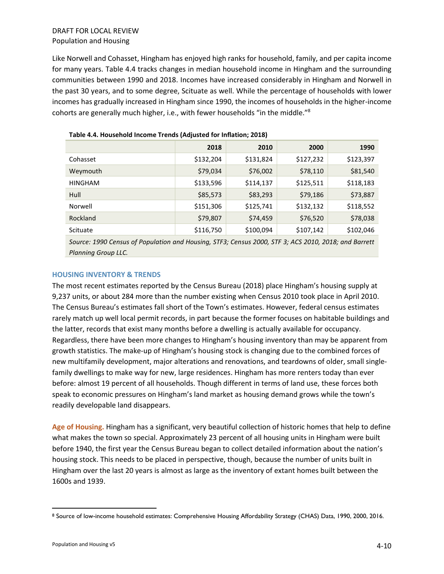Like Norwell and Cohasset, Hingham has enjoyed high ranks for household, family, and per capita income for many years. Table 4.4 tracks changes in median household income in Hingham and the surrounding communities between 1990 and 2018. Incomes have increased considerably in Hingham and Norwell in the past 30 years, and to some degree, Scituate as well. While the percentage of households with lower incomes has gradually increased in Hingham since 1990, the incomes of households in the higher-income cohorts are generally much higher, i.e., with fewer households "in the middle."<sup>8</sup>

|                | 2018      | 2010      | 2000      | 1990      |
|----------------|-----------|-----------|-----------|-----------|
| Cohasset       | \$132,204 | \$131,824 | \$127,232 | \$123,397 |
| Weymouth       | \$79,034  | \$76,002  | \$78,110  | \$81,540  |
| <b>HINGHAM</b> | \$133,596 | \$114,137 | \$125,511 | \$118,183 |
| Hull           | \$85,573  | \$83,293  | \$79,186  | \$73,887  |
| Norwell        | \$151,306 | \$125,741 | \$132,132 | \$118,552 |
| Rockland       | \$79,807  | \$74,459  | \$76,520  | \$78,038  |
| Scituate       | \$116,750 | \$100,094 | \$107,142 | \$102,046 |

*Source: 1990 Census of Population and Housing, STF3; Census 2000, STF 3; ACS 2010, 2018; and Barrett Planning Group LLC.* 

#### **HOUSING INVENTORY & TRENDS**

The most recent estimates reported by the Census Bureau (2018) place Hingham's housing supply at 9,237 units, or about 284 more than the number existing when Census 2010 took place in April 2010. The Census Bureau's estimates fall short of the Town's estimates. However, federal census estimates rarely match up well local permit records, in part because the former focuses on habitable buildings and the latter, records that exist many months before a dwelling is actually available for occupancy. Regardless, there have been more changes to Hingham's housing inventory than may be apparent from growth statistics. The make-up of Hingham's housing stock is changing due to the combined forces of new multifamily development, major alterations and renovations, and teardowns of older, small singlefamily dwellings to make way for new, large residences. Hingham has more renters today than ever before: almost 19 percent of all households. Though different in terms of land use, these forces both speak to economic pressures on Hingham's land market as housing demand grows while the town's readily developable land disappears.

**Age of Housing.** Hingham has a significant, very beautiful collection of historic homes that help to define what makes the town so special. Approximately 23 percent of all housing units in Hingham were built before 1940, the first year the Census Bureau began to collect detailed information about the nation's housing stock. This needs to be placed in perspective, though, because the number of units built in Hingham over the last 20 years is almost as large as the inventory of extant homes built between the 1600s and 1939.

<sup>8</sup> Source of low-income household estimates: Comprehensive Housing Affordability Strategy (CHAS) Data, 1990, 2000, 2016.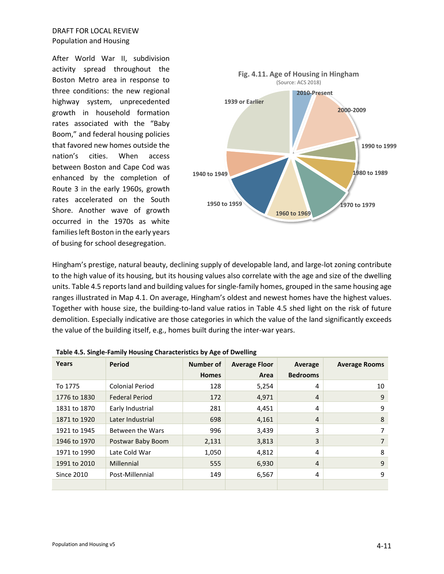After World War II, subdivision activity spread throughout the Boston Metro area in response to three conditions: the new regional highway system, unprecedented growth in household formation rates associated with the "Baby Boom," and federal housing policies that favored new homes outside the nation's cities. When access between Boston and Cape Cod was enhanced by the completion of Route 3 in the early 1960s, growth rates accelerated on the South Shore. Another wave of growth occurred in the 1970s as white families left Boston in the early years of busing for school desegregation.



Hingham's prestige, natural beauty, declining supply of developable land, and large-lot zoning contribute to the high value of its housing, but its housing values also correlate with the age and size of the dwelling units. Table 4.5 reports land and building values for single-family homes, grouped in the same housing age ranges illustrated in Map 4.1. On average, Hingham's oldest and newest homes have the highest values. Together with house size, the building-to-land value ratios in Table 4.5 shed light on the risk of future demolition. Especially indicative are those categories in which the value of the land significantly exceeds the value of the building itself, e.g., homes built during the inter-war years.

| Years             | Period                 | Number of    | <b>Average Floor</b> | Average         | <b>Average Rooms</b> |
|-------------------|------------------------|--------------|----------------------|-----------------|----------------------|
|                   |                        | <b>Homes</b> | Area                 | <b>Bedrooms</b> |                      |
| To 1775           | <b>Colonial Period</b> | 128          | 5,254                | 4               | 10                   |
| 1776 to 1830      | <b>Federal Period</b>  | 172          | 4,971                | 4               | 9                    |
| 1831 to 1870      | Early Industrial       | 281          | 4,451                | 4               | 9                    |
| 1871 to 1920      | Later Industrial       | 698          | 4,161                | 4               | 8                    |
| 1921 to 1945      | Between the Wars       | 996          | 3,439                | 3               | 7                    |
| 1946 to 1970      | Postwar Baby Boom      | 2,131        | 3,813                | 3               | 7                    |
| 1971 to 1990      | Late Cold War          | 1,050        | 4,812                | 4               | 8                    |
| 1991 to 2010      | Millennial             | 555          | 6,930                | 4               | 9                    |
| <b>Since 2010</b> | Post-Millennial        | 149          | 6,567                | 4               | 9                    |
|                   |                        |              |                      |                 |                      |

|  | Table 4.5. Single-Family Housing Characteristics by Age of Dwelling |
|--|---------------------------------------------------------------------|
|--|---------------------------------------------------------------------|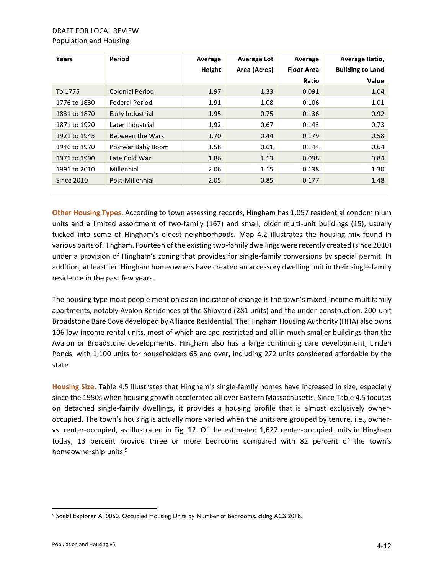| Ratio<br><b>Colonial Period</b><br>1.97<br>To 1775<br>1.33<br>0.091<br>1.91<br><b>Federal Period</b><br>1.08<br>0.106<br>1776 to 1830<br>Early Industrial<br>1.95<br>0.75<br>0.136<br>1831 to 1870<br>Later Industrial<br>1.92<br>0.67<br>0.143<br>1871 to 1920<br>Between the Wars<br>1.70<br>0.44<br>1921 to 1945<br>0.179<br>1.58<br>0.61<br>1946 to 1970<br>Postwar Baby Boom<br>0.144 | Years | Period | Average<br>Height | Average Lot<br>Area (Acres) | Average<br><b>Floor Area</b> | Average Ratio,<br><b>Building to Land</b> |
|--------------------------------------------------------------------------------------------------------------------------------------------------------------------------------------------------------------------------------------------------------------------------------------------------------------------------------------------------------------------------------------------|-------|--------|-------------------|-----------------------------|------------------------------|-------------------------------------------|
|                                                                                                                                                                                                                                                                                                                                                                                            |       |        |                   |                             |                              | Value                                     |
|                                                                                                                                                                                                                                                                                                                                                                                            |       |        |                   |                             |                              | 1.04                                      |
|                                                                                                                                                                                                                                                                                                                                                                                            |       |        |                   |                             |                              | 1.01                                      |
|                                                                                                                                                                                                                                                                                                                                                                                            |       |        |                   |                             |                              | 0.92                                      |
|                                                                                                                                                                                                                                                                                                                                                                                            |       |        |                   |                             |                              | 0.73                                      |
|                                                                                                                                                                                                                                                                                                                                                                                            |       |        |                   |                             |                              | 0.58                                      |
|                                                                                                                                                                                                                                                                                                                                                                                            |       |        |                   |                             |                              | 0.64                                      |
| Late Cold War<br>1.86<br>1.13<br>0.098<br>1971 to 1990                                                                                                                                                                                                                                                                                                                                     |       |        |                   |                             |                              | 0.84                                      |
| Millennial<br>2.06<br>1.15<br>0.138<br>1991 to 2010                                                                                                                                                                                                                                                                                                                                        |       |        |                   |                             |                              | 1.30                                      |
| Post-Millennial<br>2.05<br>0.85<br><b>Since 2010</b><br>0.177                                                                                                                                                                                                                                                                                                                              |       |        |                   |                             |                              | 1.48                                      |

**Other Housing Types.** According to town assessing records, Hingham has 1,057 residential condominium units and a limited assortment of two-family (167) and small, older multi-unit buildings (15), usually tucked into some of Hingham's oldest neighborhoods. Map 4.2 illustrates the housing mix found in various parts of Hingham. Fourteen of the existing two-family dwellings were recently created (since 2010) under a provision of Hingham's zoning that provides for single-family conversions by special permit. In addition, at least ten Hingham homeowners have created an accessory dwelling unit in their single-family residence in the past few years.

The housing type most people mention as an indicator of change is the town's mixed-income multifamily apartments, notably Avalon Residences at the Shipyard (281 units) and the under-construction, 200-unit Broadstone Bare Cove developed by Alliance Residential. The Hingham Housing Authority (HHA) also owns 106 low-income rental units, most of which are age-restricted and all in much smaller buildings than the Avalon or Broadstone developments. Hingham also has a large continuing care development, Linden Ponds, with 1,100 units for householders 65 and over, including 272 units considered affordable by the state.

**Housing Size.** Table 4.5 illustrates that Hingham's single-family homes have increased in size, especially since the 1950s when housing growth accelerated all over Eastern Massachusetts. Since Table 4.5 focuses on detached single-family dwellings, it provides a housing profile that is almost exclusively owneroccupied. The town's housing is actually more varied when the units are grouped by tenure, i.e., ownervs. renter-occupied, as illustrated in Fig. 12. Of the estimated 1,627 renter-occupied units in Hingham today, 13 percent provide three or more bedrooms compared with 82 percent of the town's homeownership units.<sup>9</sup>

<sup>9</sup> Social Explorer A10050. Occupied Housing Units by Number of Bedrooms, citing ACS 2018.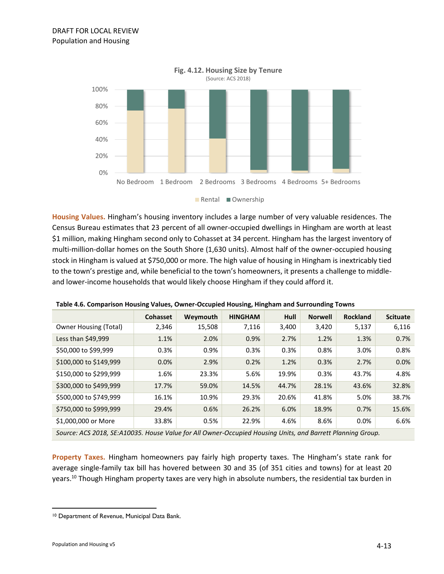

**Housing Values.** Hingham's housing inventory includes a large number of very valuable residences. The Census Bureau estimates that 23 percent of all owner-occupied dwellings in Hingham are worth at least \$1 million, making Hingham second only to Cohasset at 34 percent. Hingham has the largest inventory of multi-million-dollar homes on the South Shore (1,630 units). Almost half of the owner-occupied housing stock in Hingham is valued at \$750,000 or more. The high value of housing in Hingham is inextricably tied to the town's prestige and, while beneficial to the town's homeowners, it presents a challenge to middleand lower-income households that would likely choose Hingham if they could afford it.

|                                                                                                            | <b>Cohasset</b> | Weymouth | <b>HINGHAM</b> | Hull  | <b>Norwell</b> | <b>Rockland</b> | <b>Scituate</b> |
|------------------------------------------------------------------------------------------------------------|-----------------|----------|----------------|-------|----------------|-----------------|-----------------|
| <b>Owner Housing (Total)</b>                                                                               | 2,346           | 15,508   | 7,116          | 3,400 | 3,420          | 5,137           | 6,116           |
| Less than \$49,999                                                                                         | 1.1%            | 2.0%     | 0.9%           | 2.7%  | 1.2%           | 1.3%            | 0.7%            |
| \$50,000 to \$99,999                                                                                       | 0.3%            | 0.9%     | 0.3%           | 0.3%  | 0.8%           | 3.0%            | 0.8%            |
| \$100,000 to \$149,999                                                                                     | 0.0%            | 2.9%     | 0.2%           | 1.2%  | 0.3%           | 2.7%            | 0.0%            |
| \$150,000 to \$299,999                                                                                     | 1.6%            | 23.3%    | 5.6%           | 19.9% | 0.3%           | 43.7%           | 4.8%            |
| \$300,000 to \$499,999                                                                                     | 17.7%           | 59.0%    | 14.5%          | 44.7% | 28.1%          | 43.6%           | 32.8%           |
| \$500,000 to \$749,999                                                                                     | 16.1%           | 10.9%    | 29.3%          | 20.6% | 41.8%          | 5.0%            | 38.7%           |
| \$750,000 to \$999,999                                                                                     | 29.4%           | 0.6%     | 26.2%          | 6.0%  | 18.9%          | 0.7%            | 15.6%           |
| \$1,000,000 or More                                                                                        | 33.8%           | 0.5%     | 22.9%          | 4.6%  | 8.6%           | 0.0%            | 6.6%            |
| Source: ACS 2018, SE:A10035. House Value for All Owner-Occupied Housing Units, and Barrett Planning Group. |                 |          |                |       |                |                 |                 |

**Table 4.6. Comparison Housing Values, Owner-Occupied Housing, Hingham and Surrounding Towns**

**Property Taxes.** Hingham homeowners pay fairly high property taxes. The Hingham's state rank for average single-family tax bill has hovered between 30 and 35 (of 351 cities and towns) for at least 20 years.<sup>10</sup> Though Hingham property taxes are very high in absolute numbers, the residential tax burden in

<sup>10</sup> Department of Revenue, Municipal Data Bank.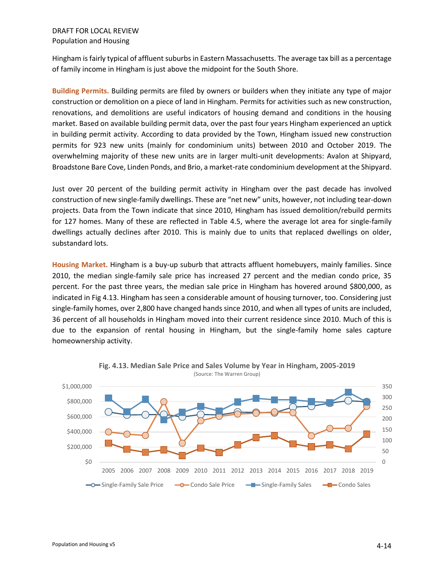Hingham is fairly typical of affluent suburbs in Eastern Massachusetts. The average tax bill as a percentage of family income in Hingham is just above the midpoint for the South Shore.

**Building Permits.** Building permits are filed by owners or builders when they initiate any type of major construction or demolition on a piece of land in Hingham. Permits for activities such as new construction, renovations, and demolitions are useful indicators of housing demand and conditions in the housing market. Based on available building permit data, over the past four years Hingham experienced an uptick in building permit activity. According to data provided by the Town, Hingham issued new construction permits for 923 new units (mainly for condominium units) between 2010 and October 2019. The overwhelming majority of these new units are in larger multi-unit developments: Avalon at Shipyard, Broadstone Bare Cove, Linden Ponds, and Brio, a market-rate condominium development at the Shipyard.

Just over 20 percent of the building permit activity in Hingham over the past decade has involved construction of new single-family dwellings. These are "net new" units, however, not including tear-down projects. Data from the Town indicate that since 2010, Hingham has issued demolition/rebuild permits for 127 homes. Many of these are reflected in Table 4.5, where the average lot area for single-family dwellings actually declines after 2010. This is mainly due to units that replaced dwellings on older, substandard lots.

**Housing Market.** Hingham is a buy-up suburb that attracts affluent homebuyers, mainly families. Since 2010, the median single-family sale price has increased 27 percent and the median condo price, 35 percent. For the past three years, the median sale price in Hingham has hovered around \$800,000, as indicated in Fig 4.13. Hingham has seen a considerable amount of housing turnover, too. Considering just single-family homes, over 2,800 have changed hands since 2010, and when all types of units are included, 36 percent of all households in Hingham moved into their current residence since 2010. Much of this is due to the expansion of rental housing in Hingham, but the single-family home sales capture homeownership activity.



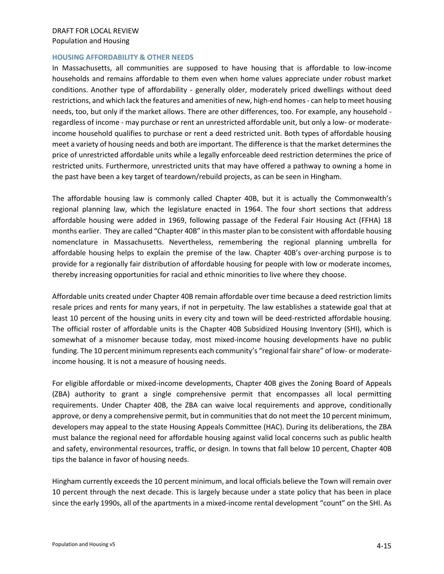#### **HOUSING AFFORDABILITY & OTHER NEEDS**

In Massachusetts, all communities are supposed to have housing that is affordable to low-income households and remains affordable to them even when home values appreciate under robust market conditions. Another type of affordability - generally older, moderately priced dwellings without deed restrictions, and which lack the features and amenities of new, high-end homes - can help to meet housing needs, too, but only if the market allows. There are other differences, too. For example, any household regardless of income - may purchase or rent an unrestricted affordable unit, but only a low- or moderateincome household qualifies to purchase or rent a deed restricted unit. Both types of affordable housing meet a variety of housing needs and both are important. The difference is that the market determines the price of unrestricted affordable units while a legally enforceable deed restriction determines the price of restricted units. Furthermore, unrestricted units that may have offered a pathway to owning a home in the past have been a key target of teardown/rebuild projects, as can be seen in Hingham.

The affordable housing law is commonly called Chapter 40B, but it is actually the Commonwealth's regional planning law, which the legislature enacted in 1964. The four short sections that address affordable housing were added in 1969, following passage of the Federal Fair Housing Act (FFHA) 18 months earlier. They are called "Chapter 40B" in this master plan to be consistent with affordable housing nomenclature in Massachusetts. Nevertheless, remembering the regional planning umbrella for affordable housing helps to explain the premise of the law. Chapter 40B's over-arching purpose is to provide for a regionally fair distribution of affordable housing for people with low or moderate incomes, thereby increasing opportunities for racial and ethnic minorities to live where they choose.

Affordable units created under Chapter 40B remain affordable over time because a deed restriction limits resale prices and rents for many years, if not in perpetuity. The law establishes a statewide goal that at least 10 percent of the housing units in every city and town will be deed-restricted affordable housing. The official roster of affordable units is the Chapter 40B Subsidized Housing Inventory (SHI), which is somewhat of a misnomer because today, most mixed-income housing developments have no public funding. The 10 percent minimum represents each community's "regional fair share" of low- or moderateincome housing. It is not a measure of housing needs.

For eligible affordable or mixed-income developments, Chapter 40B gives the Zoning Board of Appeals (ZBA) authority to grant a single comprehensive permit that encompasses all local permitting requirements. Under Chapter 40B, the ZBA can waive local requirements and approve, conditionally approve, or deny a comprehensive permit, but in communities that do not meet the 10 percent minimum, developers may appeal to the state Housing Appeals Committee (HAC). During its deliberations, the ZBA must balance the regional need for affordable housing against valid local concerns such as public health and safety, environmental resources, traffic, or design. In towns that fall below 10 percent, Chapter 40B tips the balance in favor of housing needs.

Hingham currently exceeds the 10 percent minimum, and local officials believe the Town will remain over 10 percent through the next decade. This is largely because under a state policy that has been in place since the early 1990s, all of the apartments in a mixed-income rental development "count" on the SHI. As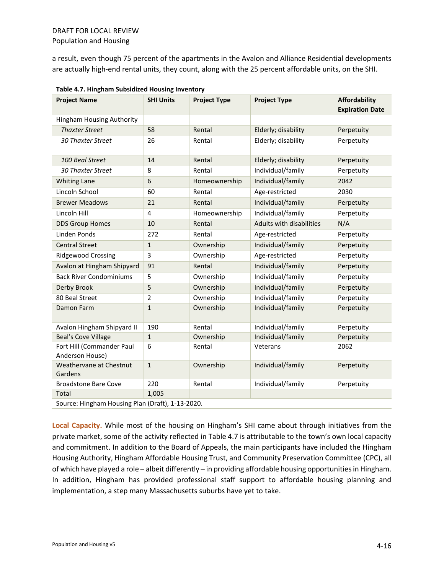a result, even though 75 percent of the apartments in the Avalon and Alliance Residential developments are actually high-end rental units, they count, along with the 25 percent affordable units, on the SHI.

| <b>Project Name</b>                          | <b>SHI Units</b> | <b>Project Type</b> | <b>Project Type</b>      | <b>Affordability</b><br><b>Expiration Date</b> |
|----------------------------------------------|------------------|---------------------|--------------------------|------------------------------------------------|
| Hingham Housing Authority                    |                  |                     |                          |                                                |
| <b>Thaxter Street</b>                        | 58               | Rental              | Elderly; disability      | Perpetuity                                     |
| <b>30 Thaxter Street</b>                     | 26               | Rental              | Elderly; disability      | Perpetuity                                     |
| 100 Beal Street                              | 14               | Rental              | Elderly; disability      | Perpetuity                                     |
| <b>30 Thaxter Street</b>                     | 8                | Rental              | Individual/family        | Perpetuity                                     |
| <b>Whiting Lane</b>                          | 6                | Homeownership       | Individual/family        | 2042                                           |
| Lincoln School                               | 60               | Rental              | Age-restricted           | 2030                                           |
| <b>Brewer Meadows</b>                        | 21               | Rental              | Individual/family        | Perpetuity                                     |
| Lincoln Hill                                 | 4                | Homeownership       | Individual/family        | Perpetuity                                     |
| <b>DDS Group Homes</b>                       | 10               | Rental              | Adults with disabilities | N/A                                            |
| Linden Ponds                                 | 272              | Rental              | Age-restricted           | Perpetuity                                     |
| <b>Central Street</b>                        | $\mathbf{1}$     | Ownership           | Individual/family        | Perpetuity                                     |
| <b>Ridgewood Crossing</b>                    | 3                | Ownership           | Age-restricted           | Perpetuity                                     |
| Avalon at Hingham Shipyard                   | 91               | Rental              | Individual/family        | Perpetuity                                     |
| <b>Back River Condominiums</b>               | 5                | Ownership           | Individual/family        | Perpetuity                                     |
| Derby Brook                                  | 5                | Ownership           | Individual/family        | Perpetuity                                     |
| 80 Beal Street                               | $\overline{2}$   | Ownership           | Individual/family        | Perpetuity                                     |
| Damon Farm                                   | $\mathbf{1}$     | Ownership           | Individual/family        | Perpetuity                                     |
| Avalon Hingham Shipyard II                   | 190              | Rental              | Individual/family        | Perpetuity                                     |
| <b>Beal's Cove Village</b>                   | $\mathbf{1}$     | Ownership           | Individual/family        | Perpetuity                                     |
| Fort Hill (Commander Paul<br>Anderson House) | 6                | Rental              | Veterans                 | 2062                                           |
| Weathervane at Chestnut<br>Gardens           | $\mathbf{1}$     | Ownership           | Individual/family        | Perpetuity                                     |
| <b>Broadstone Bare Cove</b>                  | 220              | Rental              | Individual/family        | Perpetuity                                     |
| Total                                        | 1,005            |                     |                          |                                                |

**Table 4.7. Hingham Subsidized Housing Inventory**

**Local Capacity.** While most of the housing on Hingham's SHI came about through initiatives from the private market, some of the activity reflected in Table 4.7 is attributable to the town's own local capacity and commitment. In addition to the Board of Appeals, the main participants have included the Hingham Housing Authority, Hingham Affordable Housing Trust, and Community Preservation Committee (CPC), all of which have played a role – albeit differently – in providing affordable housing opportunities in Hingham. In addition, Hingham has provided professional staff support to affordable housing planning and implementation, a step many Massachusetts suburbs have yet to take.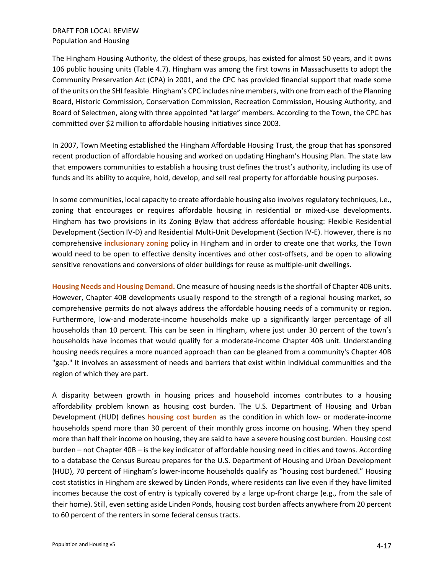The Hingham Housing Authority, the oldest of these groups, has existed for almost 50 years, and it owns 106 public housing units (Table 4.7). Hingham was among the first towns in Massachusetts to adopt the Community Preservation Act (CPA) in 2001, and the CPC has provided financial support that made some of the units on the SHI feasible. Hingham's CPC includes nine members, with one from each of the Planning Board, Historic Commission, Conservation Commission, Recreation Commission, Housing Authority, and Board of Selectmen, along with three appointed "at large" members. According to the Town, the CPC has committed over \$2 million to affordable housing initiatives since 2003.

In 2007, Town Meeting established the Hingham Affordable Housing Trust, the group that has sponsored recent production of affordable housing and worked on updating Hingham's Housing Plan. The state law that empowers communities to establish a housing trust defines the trust's authority, including its use of funds and its ability to acquire, hold, develop, and sell real property for affordable housing purposes.

In some communities, local capacity to create affordable housing also involves regulatory techniques, i.e., zoning that encourages or requires affordable housing in residential or mixed-use developments. Hingham has two provisions in its Zoning Bylaw that address affordable housing: Flexible Residential Development (Section IV-D) and Residential Multi-Unit Development (Section IV-E). However, there is no comprehensive **inclusionary zoning** policy in Hingham and in order to create one that works, the Town would need to be open to effective density incentives and other cost-offsets, and be open to allowing sensitive renovations and conversions of older buildings for reuse as multiple-unit dwellings.

**Housing Needs and Housing Demand.** One measure of housing needs is the shortfall of Chapter 40B units. However, Chapter 40B developments usually respond to the strength of a regional housing market, so comprehensive permits do not always address the affordable housing needs of a community or region. Furthermore, low-and moderate-income households make up a significantly larger percentage of all households than 10 percent. This can be seen in Hingham, where just under 30 percent of the town's households have incomes that would qualify for a moderate-income Chapter 40B unit. Understanding housing needs requires a more nuanced approach than can be gleaned from a community's Chapter 40B "gap." It involves an assessment of needs and barriers that exist within individual communities and the region of which they are part.

A disparity between growth in housing prices and household incomes contributes to a housing affordability problem known as housing cost burden. The U.S. Department of Housing and Urban Development (HUD) defines **housing cost burden** as the condition in which low- or moderate-income households spend more than 30 percent of their monthly gross income on housing. When they spend more than half their income on housing, they are said to have a severe housing cost burden. Housing cost burden – not Chapter 40B – is the key indicator of affordable housing need in cities and towns. According to a database the Census Bureau prepares for the U.S. Department of Housing and Urban Development (HUD), 70 percent of Hingham's lower-income households qualify as "housing cost burdened." Housing cost statistics in Hingham are skewed by Linden Ponds, where residents can live even if they have limited incomes because the cost of entry is typically covered by a large up-front charge (e.g., from the sale of their home). Still, even setting aside Linden Ponds, housing cost burden affects anywhere from 20 percent to 60 percent of the renters in some federal census tracts.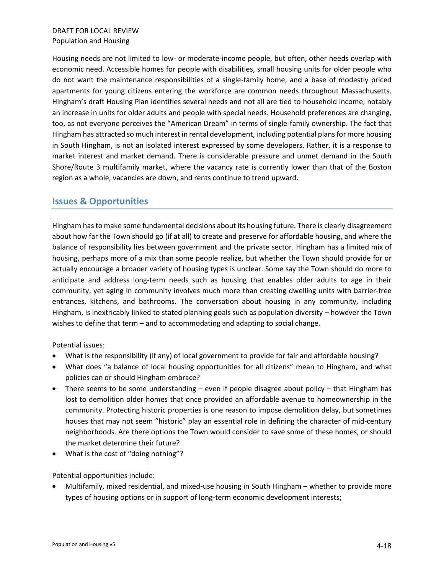Housing needs are not limited to low- or moderate-income people, but often, other needs overlap with economic need. Accessible homes for people with disabilities, small housing units for older people who do not want the maintenance responsibilities of a single-family home, and a base of modestly priced apartments for young citizens entering the workforce are common needs throughout Massachusetts. Hingham's draft Housing Plan identifies several needs and not all are tied to household income, notably an increase in units for older adults and people with special needs. Household preferences are changing, too, as not everyone perceives the "American Dream" in terms of single-family ownership. The fact that Hingham has attracted so much interest in rental development, including potential plans for more housing in South Hingham, is not an isolated interest expressed by some developers. Rather, it is a response to market interest and market demand. There is considerable pressure and unmet demand in the South Shore/Route 3 multifamily market, where the vacancy rate is currently lower than that of the Boston region as a whole, vacancies are down, and rents continue to trend upward.

## **Issues & Opportunities**

Hingham has to make some fundamental decisions about its housing future. There is clearly disagreement about how far the Town should go (if at all) to create and preserve for affordable housing, and where the balance of responsibility lies between government and the private sector. Hingham has a limited mix of housing, perhaps more of a mix than some people realize, but whether the Town should provide for or actually encourage a broader variety of housing types is unclear. Some say the Town should do more to anticipate and address long-term needs such as housing that enables older adults to age in their community, yet aging in community involves much more than creating dwelling units with barrier-free entrances, kitchens, and bathrooms. The conversation about housing in any community, including Hingham, is inextricably linked to stated planning goals such as population diversity – however the Town wishes to define that term – and to accommodating and adapting to social change.

Potential issues:

- What is the responsibility (if any) of local government to provide for fair and affordable housing?
- What does "a balance of local housing opportunities for all citizens" mean to Hingham, and what policies can or should Hingham embrace?
- There seems to be some understanding even if people disagree about policy that Hingham has lost to demolition older homes that once provided an affordable avenue to homeownership in the community. Protecting historic properties is one reason to impose demolition delay, but sometimes houses that may not seem "historic" play an essential role in defining the character of mid-century neighborhoods. Are there options the Town would consider to save some of these homes, or should the market determine their future?
- What is the cost of "doing nothing"?

Potential opportunities include:

• Multifamily, mixed residential, and mixed-use housing in South Hingham – whether to provide more types of housing options or in support of long-term economic development interests;